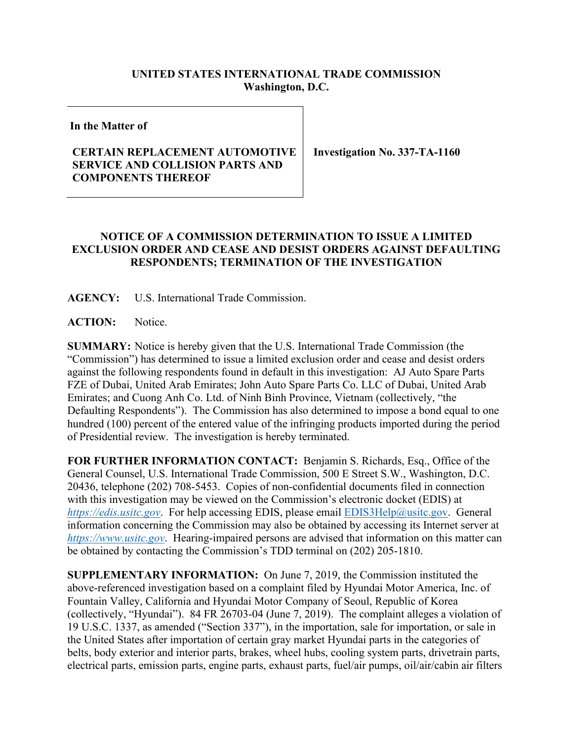## **UNITED STATES INTERNATIONAL TRADE COMMISSION Washington, D.C.**

 **In the Matter of**

## **CERTAIN REPLACEMENT AUTOMOTIVE SERVICE AND COLLISION PARTS AND COMPONENTS THEREOF**

**Investigation No. 337-TA-1160**

## **NOTICE OF A COMMISSION DETERMINATION TO ISSUE A LIMITED EXCLUSION ORDER AND CEASE AND DESIST ORDERS AGAINST DEFAULTING RESPONDENTS; TERMINATION OF THE INVESTIGATION**

**AGENCY:** U.S. International Trade Commission.

**ACTION:** Notice.

**SUMMARY:** Notice is hereby given that the U.S. International Trade Commission (the "Commission") has determined to issue a limited exclusion order and cease and desist orders against the following respondents found in default in this investigation: AJ Auto Spare Parts FZE of Dubai, United Arab Emirates; John Auto Spare Parts Co. LLC of Dubai, United Arab Emirates; and Cuong Anh Co. Ltd. of Ninh Binh Province, Vietnam (collectively, "the Defaulting Respondents"). The Commission has also determined to impose a bond equal to one hundred (100) percent of the entered value of the infringing products imported during the period of Presidential review. The investigation is hereby terminated.

**FOR FURTHER INFORMATION CONTACT:** Benjamin S. Richards, Esq., Office of the General Counsel, U.S. International Trade Commission, 500 E Street S.W., Washington, D.C. 20436, telephone (202) 708-5453. Copies of non-confidential documents filed in connection with this investigation may be viewed on the Commission's electronic docket (EDIS) at *[https://edis.usitc.gov](https://edis.usitc.gov/).* For help accessing EDIS, please email [EDIS3Help@usitc.gov.](mailto:EDIS3Help@usitc.gov) General information concerning the Commission may also be obtained by accessing its Internet server at *[https://www.usitc.gov](https://www.usitc.gov/)*. Hearing-impaired persons are advised that information on this matter can be obtained by contacting the Commission's TDD terminal on (202) 205-1810.

**SUPPLEMENTARY INFORMATION:** On June 7, 2019, the Commission instituted the above-referenced investigation based on a complaint filed by Hyundai Motor America, Inc. of Fountain Valley, California and Hyundai Motor Company of Seoul, Republic of Korea (collectively, "Hyundai"). 84 FR 26703-04 (June 7, 2019). The complaint alleges a violation of 19 U.S.C. 1337, as amended ("Section 337"), in the importation, sale for importation, or sale in the United States after importation of certain gray market Hyundai parts in the categories of belts, body exterior and interior parts, brakes, wheel hubs, cooling system parts, drivetrain parts, electrical parts, emission parts, engine parts, exhaust parts, fuel/air pumps, oil/air/cabin air filters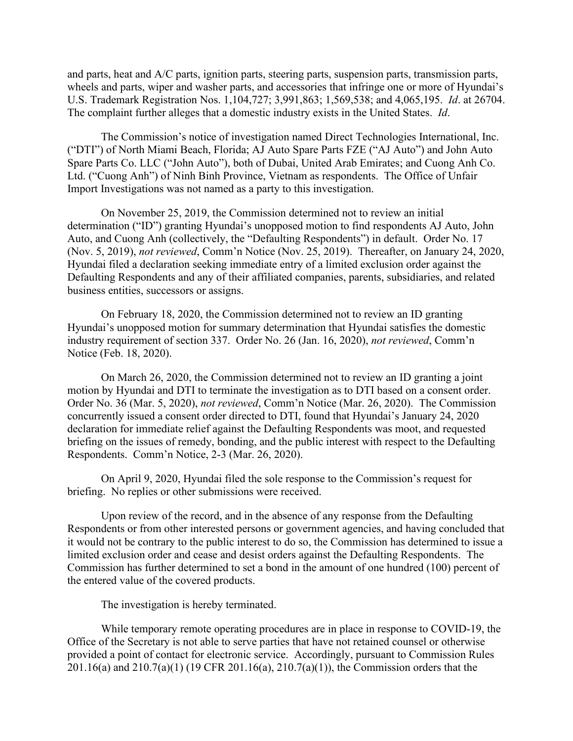and parts, heat and A/C parts, ignition parts, steering parts, suspension parts, transmission parts, wheels and parts, wiper and washer parts, and accessories that infringe one or more of Hyundai's U.S. Trademark Registration Nos. 1,104,727; 3,991,863; 1,569,538; and 4,065,195. *Id*. at 26704. The complaint further alleges that a domestic industry exists in the United States. *Id*.

The Commission's notice of investigation named Direct Technologies International, Inc. ("DTI") of North Miami Beach, Florida; AJ Auto Spare Parts FZE ("AJ Auto") and John Auto Spare Parts Co. LLC ("John Auto"), both of Dubai, United Arab Emirates; and Cuong Anh Co. Ltd. ("Cuong Anh") of Ninh Binh Province, Vietnam as respondents. The Office of Unfair Import Investigations was not named as a party to this investigation.

On November 25, 2019, the Commission determined not to review an initial determination ("ID") granting Hyundai's unopposed motion to find respondents AJ Auto, John Auto, and Cuong Anh (collectively, the "Defaulting Respondents") in default. Order No. 17 (Nov. 5, 2019), *not reviewed*, Comm'n Notice (Nov. 25, 2019). Thereafter, on January 24, 2020, Hyundai filed a declaration seeking immediate entry of a limited exclusion order against the Defaulting Respondents and any of their affiliated companies, parents, subsidiaries, and related business entities, successors or assigns.

On February 18, 2020, the Commission determined not to review an ID granting Hyundai's unopposed motion for summary determination that Hyundai satisfies the domestic industry requirement of section 337. Order No. 26 (Jan. 16, 2020), *not reviewed*, Comm'n Notice (Feb. 18, 2020).

On March 26, 2020, the Commission determined not to review an ID granting a joint motion by Hyundai and DTI to terminate the investigation as to DTI based on a consent order. Order No. 36 (Mar. 5, 2020), *not reviewed*, Comm'n Notice (Mar. 26, 2020). The Commission concurrently issued a consent order directed to DTI, found that Hyundai's January 24, 2020 declaration for immediate relief against the Defaulting Respondents was moot, and requested briefing on the issues of remedy, bonding, and the public interest with respect to the Defaulting Respondents. Comm'n Notice, 2-3 (Mar. 26, 2020).

On April 9, 2020, Hyundai filed the sole response to the Commission's request for briefing. No replies or other submissions were received.

Upon review of the record, and in the absence of any response from the Defaulting Respondents or from other interested persons or government agencies, and having concluded that it would not be contrary to the public interest to do so, the Commission has determined to issue a limited exclusion order and cease and desist orders against the Defaulting Respondents. The Commission has further determined to set a bond in the amount of one hundred (100) percent of the entered value of the covered products.

The investigation is hereby terminated.

While temporary remote operating procedures are in place in response to COVID-19, the Office of the Secretary is not able to serve parties that have not retained counsel or otherwise provided a point of contact for electronic service. Accordingly, pursuant to Commission Rules 201.16(a) and 210.7(a)(1) (19 CFR 201.16(a), 210.7(a)(1)), the Commission orders that the